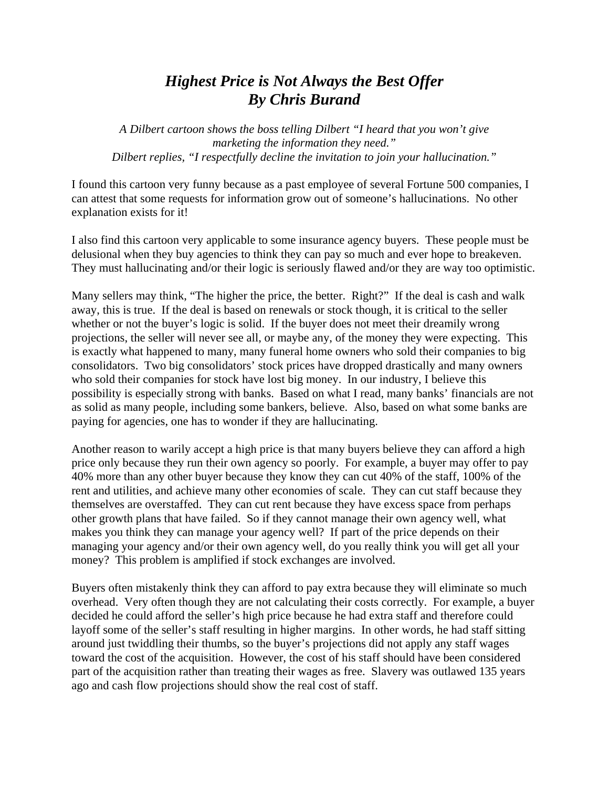## *Highest Price is Not Always the Best Offer By Chris Burand*

*A Dilbert cartoon shows the boss telling Dilbert "I heard that you won't give marketing the information they need." Dilbert replies, "I respectfully decline the invitation to join your hallucination."*

I found this cartoon very funny because as a past employee of several Fortune 500 companies, I can attest that some requests for information grow out of someone's hallucinations. No other explanation exists for it!

I also find this cartoon very applicable to some insurance agency buyers. These people must be delusional when they buy agencies to think they can pay so much and ever hope to breakeven. They must hallucinating and/or their logic is seriously flawed and/or they are way too optimistic.

Many sellers may think, "The higher the price, the better. Right?" If the deal is cash and walk away, this is true. If the deal is based on renewals or stock though, it is critical to the seller whether or not the buyer's logic is solid. If the buyer does not meet their dreamily wrong projections, the seller will never see all, or maybe any, of the money they were expecting. This is exactly what happened to many, many funeral home owners who sold their companies to big consolidators. Two big consolidators' stock prices have dropped drastically and many owners who sold their companies for stock have lost big money. In our industry, I believe this possibility is especially strong with banks. Based on what I read, many banks' financials are not as solid as many people, including some bankers, believe. Also, based on what some banks are paying for agencies, one has to wonder if they are hallucinating.

Another reason to warily accept a high price is that many buyers believe they can afford a high price only because they run their own agency so poorly. For example, a buyer may offer to pay 40% more than any other buyer because they know they can cut 40% of the staff, 100% of the rent and utilities, and achieve many other economies of scale. They can cut staff because they themselves are overstaffed. They can cut rent because they have excess space from perhaps other growth plans that have failed. So if they cannot manage their own agency well, what makes you think they can manage your agency well? If part of the price depends on their managing your agency and/or their own agency well, do you really think you will get all your money? This problem is amplified if stock exchanges are involved.

Buyers often mistakenly think they can afford to pay extra because they will eliminate so much overhead. Very often though they are not calculating their costs correctly. For example, a buyer decided he could afford the seller's high price because he had extra staff and therefore could layoff some of the seller's staff resulting in higher margins. In other words, he had staff sitting around just twiddling their thumbs, so the buyer's projections did not apply any staff wages toward the cost of the acquisition. However, the cost of his staff should have been considered part of the acquisition rather than treating their wages as free. Slavery was outlawed 135 years ago and cash flow projections should show the real cost of staff.